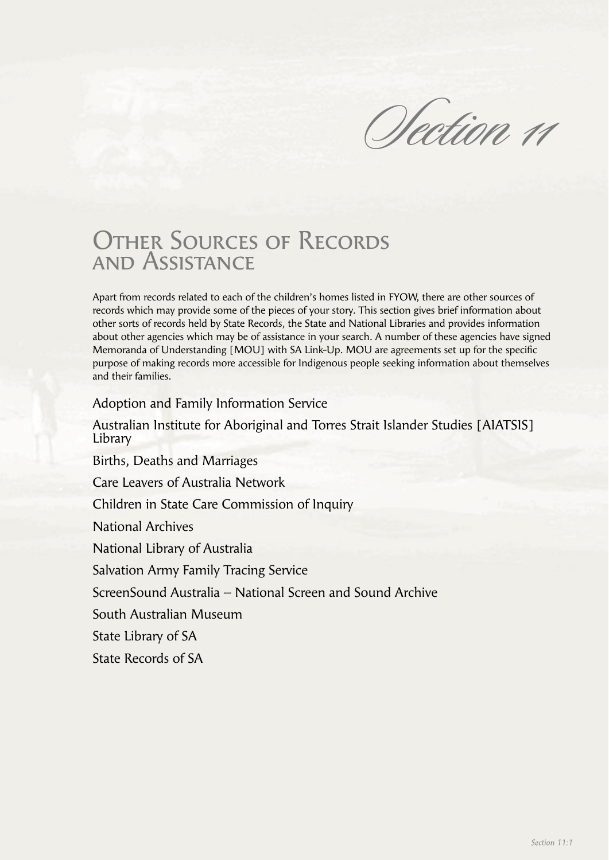Olection 11

# OTHER SOURCES OF RECORDS and Assistance

Apart from records related to each of the children's homes listed in FYOW, there are other sources of records which may provide some of the pieces of your story. This section gives brief information about other sorts of records held by State Records, the State and National Libraries and provides information about other agencies which may be of assistance in your search. A number of these agencies have signed Memoranda of Understanding [MOU] with SA Link-Up. MOU are agreements set up for the specific purpose of making records more accessible for Indigenous people seeking information about themselves and their families.

Adoption and Family Information Service

Australian Institute for Aboriginal and Torres Strait Islander Studies [AIATSIS] Library

Births, Deaths and Marriages

Care Leavers of Australia Network

Children in State Care Commission of Inquiry

National Archives

National Library of Australia

Salvation Army Family Tracing Service

ScreenSound Australia – National Screen and Sound Archive

South Australian Museum

State Library of SA

State Records of SA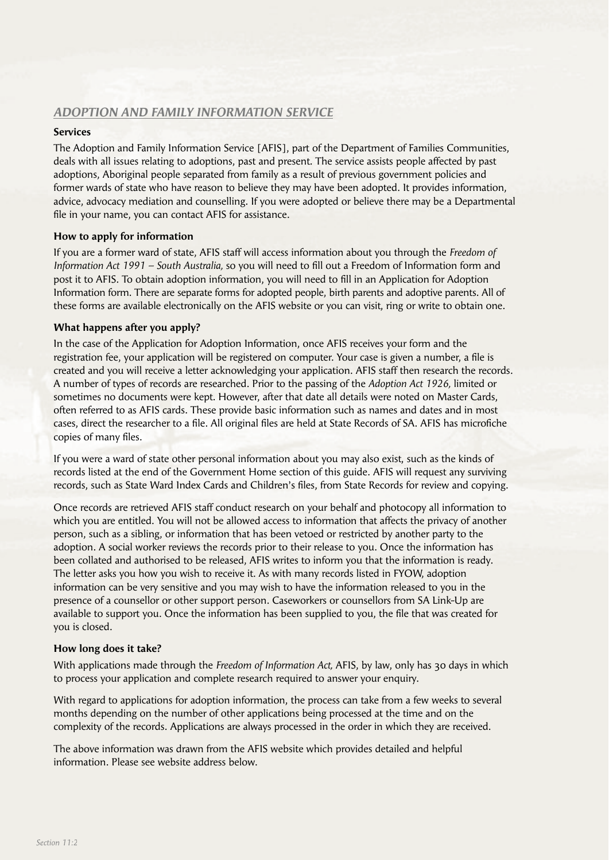## *ADOPTION AND FAMILY INFORMATION SERVICE*

## **Services**

The Adoption and Family Information Service [AFIS], part of the Department of Families Communities, deals with all issues relating to adoptions, past and present. The service assists people affected by past adoptions, Aboriginal people separated from family as a result of previous government policies and former wards of state who have reason to believe they may have been adopted. It provides information, advice, advocacy mediation and counselling. If you were adopted or believe there may be a Departmental file in your name, you can contact AFIS for assistance.

## **How to apply for information**

If you are a former ward of state, AFIS staff will access information about you through the *Freedom of Information Act 1991 – South Australia, so you will need to fill out a Freedom of Information form and* post it to AFIS. To obtain adoption information, you will need to fill in an Application for Adoption Information form. There are separate forms for adopted people, birth parents and adoptive parents. All of these forms are available electronically on the AFIS website or you can visit, ring or write to obtain one.

## **What happens after you apply?**

In the case of the Application for Adoption Information, once AFIS receives your form and the registration fee, your application will be registered on computer. Your case is given a number, a file is created and you will receive a letter acknowledging your application. AFIS staff then research the records. A number of types of records are researched. Prior to the passing of the *Adoption Act 1926,* limited or sometimes no documents were kept. However, after that date all details were noted on Master Cards, often referred to as AFIS cards. These provide basic information such as names and dates and in most cases, direct the researcher to a file. All original files are held at State Records of SA. AFIS has microfiche copies of many files.

If you were a ward of state other personal information about you may also exist, such as the kinds of records listed at the end of the Government Home section of this guide. AFIS will request any surviving records, such as State Ward Index Cards and Children's files, from State Records for review and copying.

Once records are retrieved AFIS staff conduct research on your behalf and photocopy all information to which you are entitled. You will not be allowed access to information that affects the privacy of another person, such as a sibling, or information that has been vetoed or restricted by another party to the adoption. A social worker reviews the records prior to their release to you. Once the information has been collated and authorised to be released, AFIS writes to inform you that the information is ready. The letter asks you how you wish to receive it. As with many records listed in FYOW, adoption information can be very sensitive and you may wish to have the information released to you in the presence of a counsellor or other support person. Caseworkers or counsellors from SA Link-Up are available to support you. Once the information has been supplied to you, the file that was created for you is closed.

## **How long does it take?**

With applications made through the *Freedom of Information Act,* AFIS, by law, only has 30 days in which to process your application and complete research required to answer your enquiry.

With regard to applications for adoption information, the process can take from a few weeks to several months depending on the number of other applications being processed at the time and on the complexity of the records. Applications are always processed in the order in which they are received.

The above information was drawn from the AFIS website which provides detailed and helpful information. Please see website address below.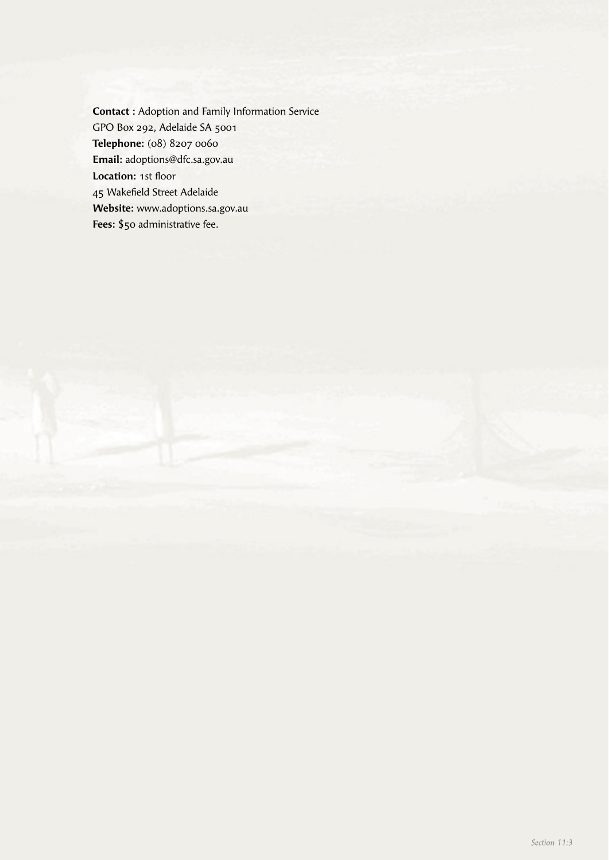**Contact :** Adoption and Family Information Service GPO Box 292, Adelaide SA 5001 **Telephone:** (08) 8207 0060 **Email:** adoptions@dfc.sa.gov.au **Location: 1st floor** 45 Wakefield Street Adelaide **Website:** www.adoptions.sa.gov.au **Fees:** \$50 administrative fee.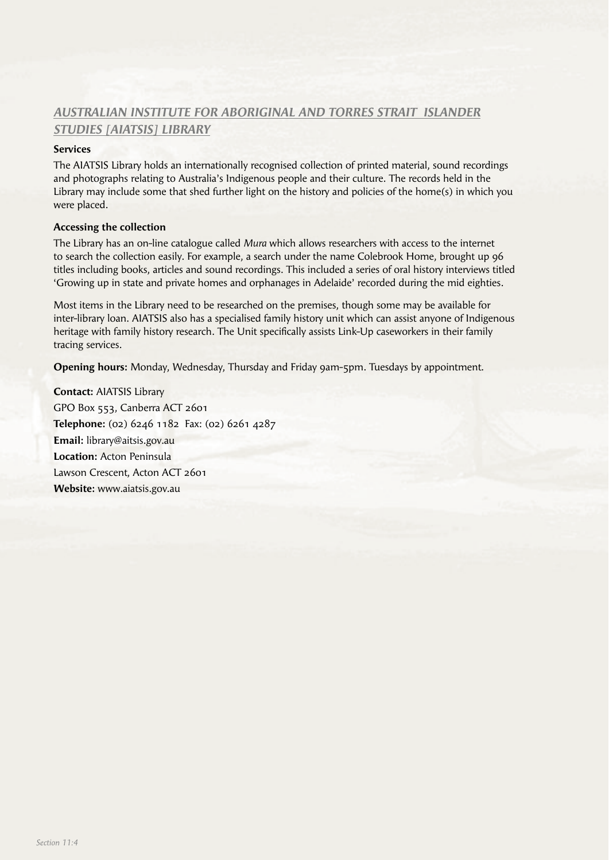# *AUSTRALIAN INSTITUTE FOR ABORIGINAL AND TORRES STRAIT ISLANDER STUDIES [AIATSIS] LIBRARY*

## **Services**

The AIATSIS Library holds an internationally recognised collection of printed material, sound recordings and photographs relating to Australia's Indigenous people and their culture. The records held in the Library may include some that shed further light on the history and policies of the home(s) in which you were placed.

## **Accessing the collection**

The Library has an on-line catalogue called *Mura* which allows researchers with access to the internet to search the collection easily. For example, a search under the name Colebrook Home, brought up 96 titles including books, articles and sound recordings. This included a series of oral history interviews titled 'Growing up in state and private homes and orphanages in Adelaide' recorded during the mid eighties.

Most items in the Library need to be researched on the premises, though some may be available for inter-library loan. AIATSIS also has a specialised family history unit which can assist anyone of Indigenous heritage with family history research. The Unit specifically assists Link-Up caseworkers in their family tracing services.

**Opening hours:** Monday, Wednesday, Thursday and Friday 9am-5pm. Tuesdays by appointment.

**Contact:** AIATSIS Library GPO Box 553, Canberra ACT 2601 **Telephone:** (02) 6246 1182 Fax: (02) 6261 4287 **Email:** library@aitsis.gov.au **Location:** Acton Peninsula Lawson Crescent, Acton ACT 2601 **Website:** www.aiatsis.gov.au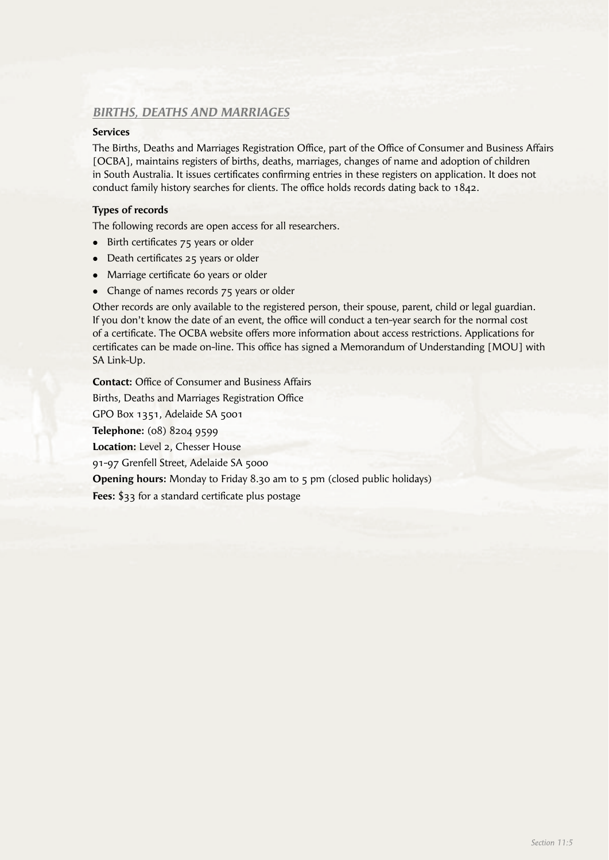## *BIRTHS, DEATHS AND MARRIAGES*

## **Services**

The Births, Deaths and Marriages Registration Office, part of the Office of Consumer and Business Affairs [OCBA], maintains registers of births, deaths, marriages, changes of name and adoption of children in South Australia. It issues certificates confirming entries in these registers on application. It does not conduct family history searches for clients. The office holds records dating back to  $1842$ .

#### **Types of records**

The following records are open access for all researchers.

- $\bullet$  Birth certificates  $75$  years or older
- Death certificates 25 years or older
- Marriage certificate 60 years or older
- Change of names records 75 years or older

Other records are only available to the registered person, their spouse, parent, child or legal guardian. If you don't know the date of an event, the office will conduct a ten-year search for the normal cost of a certificate. The OCBA website offers more information about access restrictions. Applications for certificates can be made on-line. This office has signed a Memorandum of Understanding [MOU] with SA Link-Up.

**Contact:** Office of Consumer and Business Affairs Births, Deaths and Marriages Registration Office GPO Box 1351, Adelaide SA 5001 **Telephone:** (08) 8204 9599 **Location:** Level 2, Chesser House 91-97 Grenfell Street, Adelaide SA 5000 **Opening hours:** Monday to Friday 8.30 am to 5 pm (closed public holidays) Fees: \$33 for a standard certificate plus postage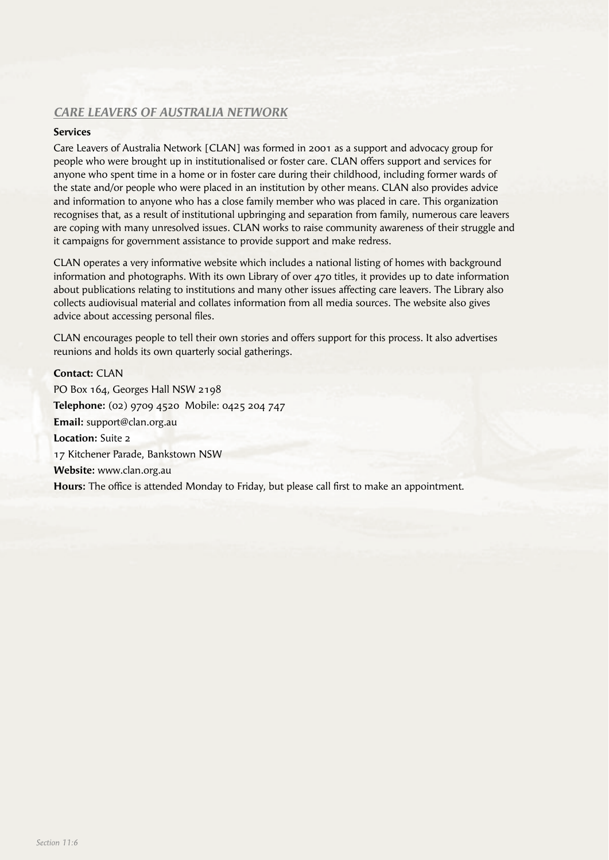# *CARE LEAVERS OF AUSTRALIA NETWORK*

## **Services**

Care Leavers of Australia Network [CLAN] was formed in 2001 as a support and advocacy group for people who were brought up in institutionalised or foster care. CLAN offers support and services for anyone who spent time in a home or in foster care during their childhood, including former wards of the state and/or people who were placed in an institution by other means. CLAN also provides advice and information to anyone who has a close family member who was placed in care. This organization recognises that, as a result of institutional upbringing and separation from family, numerous care leavers are coping with many unresolved issues. CLAN works to raise community awareness of their struggle and it campaigns for government assistance to provide support and make redress.

CLAN operates a very informative website which includes a national listing of homes with background information and photographs. With its own Library of over 470 titles, it provides up to date information about publications relating to institutions and many other issues affecting care leavers. The Library also collects audiovisual material and collates information from all media sources. The website also gives advice about accessing personal files.

CLAN encourages people to tell their own stories and offers support for this process. It also advertises reunions and holds its own quarterly social gatherings.

**Contact:** CLAN PO Box 164, Georges Hall NSW 2198 **Telephone:** (02) 9709 4520 Mobile: 0425 204 747 **Email:** support@clan.org.au **Location:** Suite 2 17 Kitchener Parade, Bankstown NSW **Website:** www.clan.org.au **Hours:** The office is attended Monday to Friday, but please call first to make an appointment.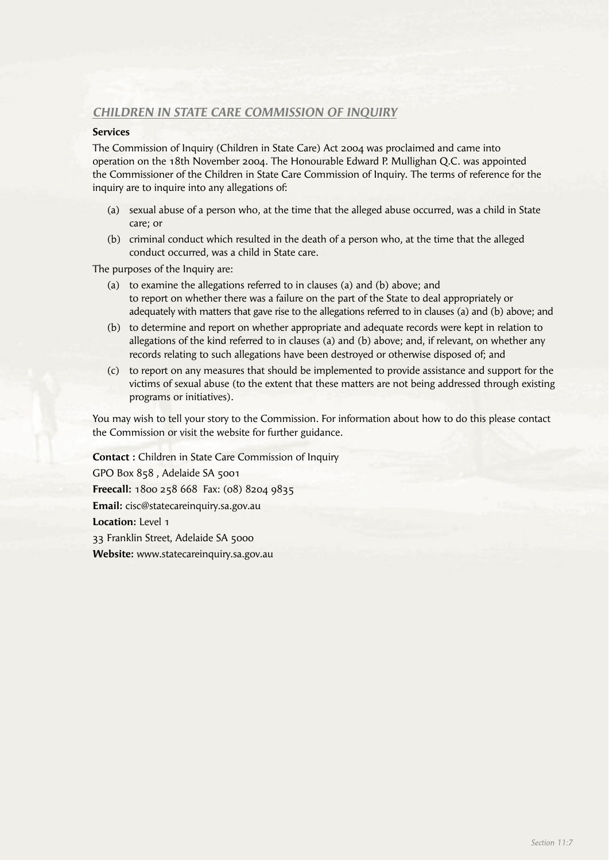## *CHILDREN IN STATE CARE COMMISSION OF INQUIRY*

#### **Services**

The Commission of Inquiry (Children in State Care) Act 2004 was proclaimed and came into operation on the 18th November 2004. The Honourable Edward P. Mullighan Q.C. was appointed the Commissioner of the Children in State Care Commission of Inquiry. The terms of reference for the inquiry are to inquire into any allegations of:

- (a) sexual abuse of a person who, at the time that the alleged abuse occurred, was a child in State care; or
- (b) criminal conduct which resulted in the death of a person who, at the time that the alleged conduct occurred, was a child in State care.

The purposes of the Inquiry are:

- (a) to examine the allegations referred to in clauses (a) and (b) above; and to report on whether there was a failure on the part of the State to deal appropriately or adequately with matters that gave rise to the allegations referred to in clauses (a) and (b) above; and
- (b) to determine and report on whether appropriate and adequate records were kept in relation to allegations of the kind referred to in clauses (a) and (b) above; and, if relevant, on whether any records relating to such allegations have been destroyed or otherwise disposed of; and
- (c) to report on any measures that should be implemented to provide assistance and support for the victims of sexual abuse (to the extent that these matters are not being addressed through existing programs or initiatives).

You may wish to tell your story to the Commission. For information about how to do this please contact the Commission or visit the website for further guidance.

**Contact :** Children in State Care Commission of Inquiry GPO Box 858 , Adelaide SA 5001 **Freecall:** 1800 258 668 Fax: (08) 8204 9835 **Email:** cisc@statecareinquiry.sa.gov.au **Location:** Level 1 33 Franklin Street, Adelaide SA 5000 **Website:** www.statecareinquiry.sa.gov.au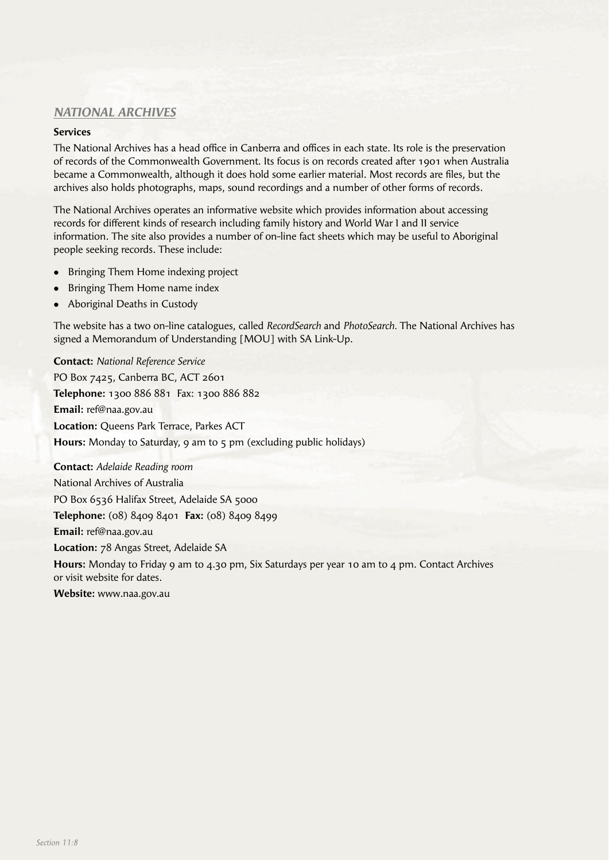# *NATIONAL ARCHIVES*

## **Services**

The National Archives has a head office in Canberra and offices in each state. Its role is the preservation of records of the Commonwealth Government. Its focus is on records created after 1901 when Australia became a Commonwealth, although it does hold some earlier material. Most records are files, but the archives also holds photographs, maps, sound recordings and a number of other forms of records.

The National Archives operates an informative website which provides information about accessing records for different kinds of research including family history and World War I and II service information. The site also provides a number of on-line fact sheets which may be useful to Aboriginal people seeking records. These include:

- Bringing Them Home indexing project
- Bringing Them Home name index
- Aboriginal Deaths in Custody

The website has a two on-line catalogues, called *RecordSearch* and *PhotoSearch.* The National Archives has signed a Memorandum of Understanding [MOU] with SA Link-Up.

**Contact:** *National Reference Service* PO Box 7425, Canberra BC, ACT 2601 **Telephone:** 1300 886 881 Fax: 1300 886 882 **Email:** ref@naa.gov.au **Location:** Queens Park Terrace, Parkes ACT **Hours:** Monday to Saturday, 9 am to 5 pm (excluding public holidays)

**Contact:** *Adelaide Reading room* National Archives of Australia PO Box 6536 Halifax Street, Adelaide SA 5000 **Telephone:** (08) 8409 8401 **Fax:** (08) 8409 8499 **Email:** ref@naa.gov.au **Location:** 78 Angas Street, Adelaide SA

**Hours:** Monday to Friday 9 am to 4.30 pm, Six Saturdays per year 10 am to 4 pm. Contact Archives or visit website for dates.

**Website:** www.naa.gov.au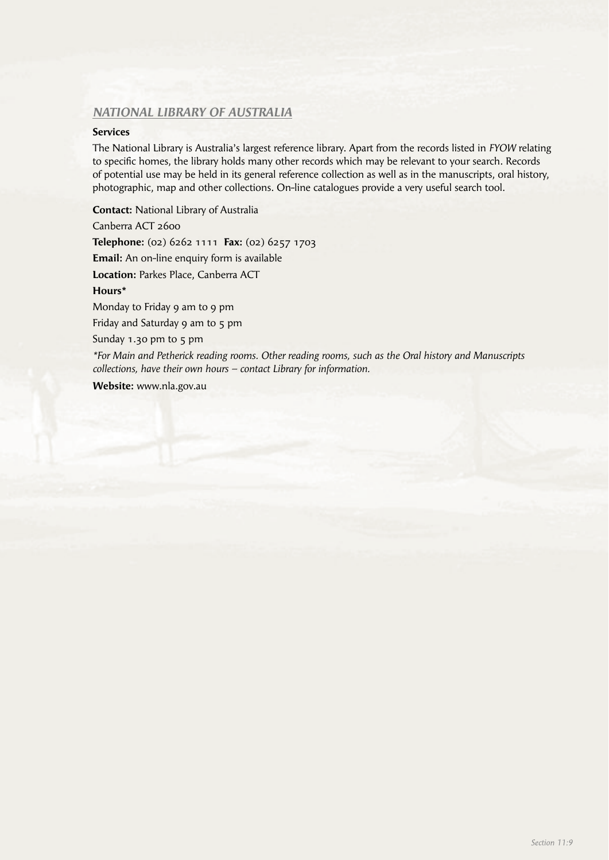## *NATIONAL LIBRARY OF AUSTRALIA*

#### **Services**

The National Library is Australia's largest reference library. Apart from the records listed in *FYOW* relating to specific homes, the library holds many other records which may be relevant to your search. Records of potential use may be held in its general reference collection as well as in the manuscripts, oral history, photographic, map and other collections. On-line catalogues provide a very useful search tool.

**Contact:** National Library of Australia Canberra ACT 2600 **Telephone:** (02) 6262 1111 **Fax:** (02) 6257 1703 **Email:** An on-line enquiry form is available **Location:** Parkes Place, Canberra ACT **Hours\*** Monday to Friday 9 am to 9 pm Friday and Saturday 9 am to 5 pm Sunday 1.30 pm to 5 pm *\*For Main and Petherick reading rooms. Other reading rooms, such as the Oral history and Manuscripts collections, have their own hours – contact Library for information.*

**Website:** www.nla.gov.au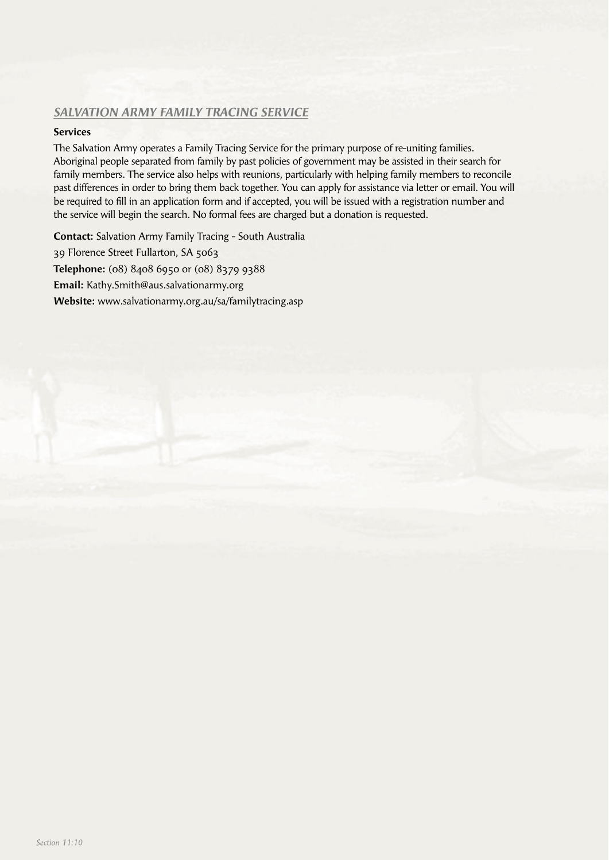# *SALVATION ARMY FAMILY TRACING SERVICE*

## **Services**

The Salvation Army operates a Family Tracing Service for the primary purpose of re-uniting families. Aboriginal people separated from family by past policies of government may be assisted in their search for family members. The service also helps with reunions, particularly with helping family members to reconcile past differences in order to bring them back together. You can apply for assistance via letter or email. You will be required to fill in an application form and if accepted, you will be issued with a registration number and the service will begin the search. No formal fees are charged but a donation is requested.

**Contact:** Salvation Army Family Tracing - South Australia 39 Florence Street Fullarton, SA 5063 **Telephone:** (08) 8408 6950 or (08) 8379 9388 **Email:** Kathy.Smith@aus.salvationarmy.org **Website:** www.salvationarmy.org.au/sa/familytracing.asp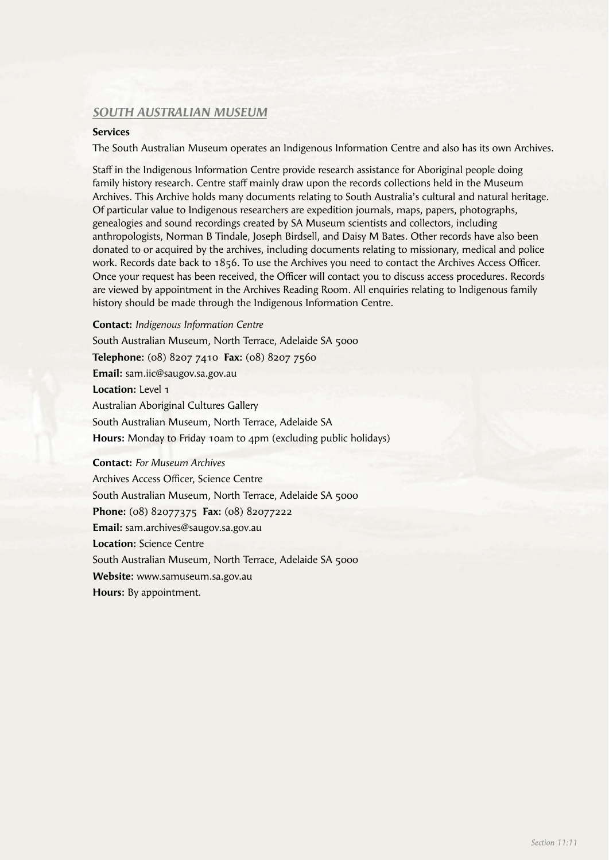## *SOUTH AUSTRALIAN MUSEUM*

#### **Services**

The South Australian Museum operates an Indigenous Information Centre and also has its own Archives.

Staff in the Indigenous Information Centre provide research assistance for Aboriginal people doing family history research. Centre staff mainly draw upon the records collections held in the Museum Archives. This Archive holds many documents relating to South Australia's cultural and natural heritage. Of particular value to Indigenous researchers are expedition journals, maps, papers, photographs, genealogies and sound recordings created by SA Museum scientists and collectors, including anthropologists, Norman B Tindale, Joseph Birdsell, and Daisy M Bates. Other records have also been donated to or acquired by the archives, including documents relating to missionary, medical and police work. Records date back to 1856. To use the Archives you need to contact the Archives Access Officer. Once your request has been received, the Officer will contact you to discuss access procedures. Records are viewed by appointment in the Archives Reading Room. All enquiries relating to Indigenous family history should be made through the Indigenous Information Centre.

**Contact:** *Indigenous Information Centre* South Australian Museum, North Terrace, Adelaide SA 5000 **Telephone:** (08) 8207 7410 **Fax:** (08) 8207 7560 **Email:** sam.iic@saugov.sa.gov.au **Location:** Level 1 Australian Aboriginal Cultures Gallery South Australian Museum, North Terrace, Adelaide SA **Hours:** Monday to Friday 10am to 4pm (excluding public holidays)

**Contact:** *For Museum Archives* Archives Access Officer, Science Centre South Australian Museum, North Terrace, Adelaide SA 5000 **Phone:** (08) 82077375 **Fax:** (08) 82077222 **Email:** sam.archives@saugov.sa.gov.au **Location:** Science Centre South Australian Museum, North Terrace, Adelaide SA 5000 **Website:** www.samuseum.sa.gov.au **Hours:** By appointment.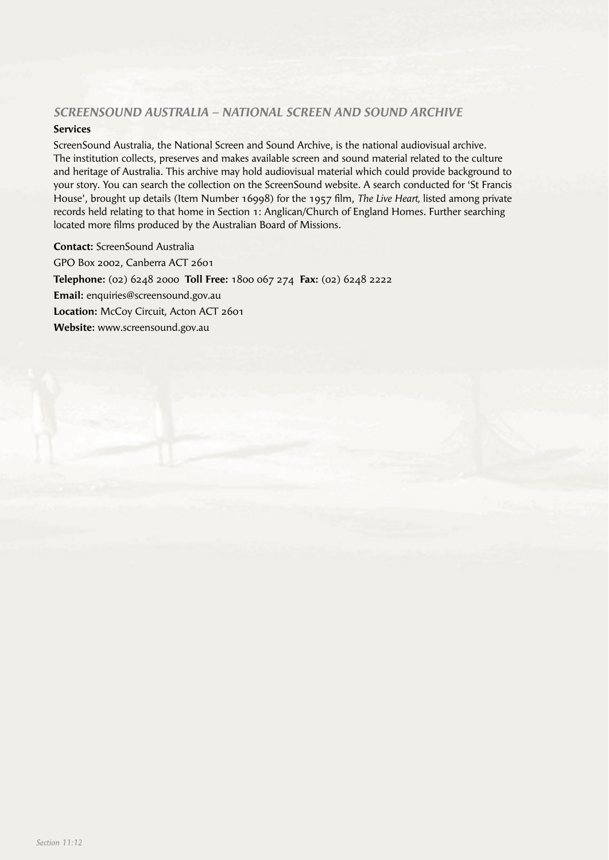## *SCREENSOUND AUSTRALIA – NATIONAL SCREEN AND SOUND ARCHIVE*

## **Services**

ScreenSound Australia, the National Screen and Sound Archive, is the national audiovisual archive. The institution collects, preserves and makes available screen and sound material related to the culture and heritage of Australia. This archive may hold audiovisual material which could provide background to your story. You can search the collection on the ScreenSound website. A search conducted for 'St Francis House', brought up details (Item Number 16998) for the 1957 film, *The Live Heart*, listed among private records held relating to that home in Section 1: Anglican/Church of England Homes. Further searching located more films produced by the Australian Board of Missions.

**Contact:** ScreenSound Australia GPO Box 2002, Canberra ACT 2601 **Telephone:** (02) 6248 2000 **Toll Free:** 1800 067 274 **Fax:** (02) 6248 2222 **Email:** enquiries@screensound.gov.au **Location:** McCoy Circuit, Acton ACT 2601 **Website:** www.screensound.gov.au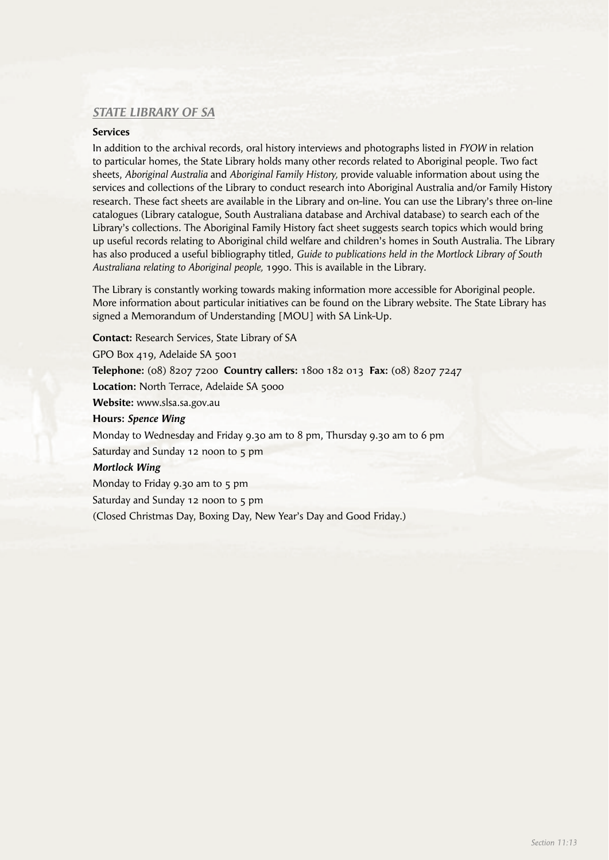## *STATE LIBRARY OF SA*

## **Services**

In addition to the archival records, oral history interviews and photographs listed in *FYOW* in relation to particular homes, the State Library holds many other records related to Aboriginal people. Two fact sheets, *Aboriginal Australia* and *Aboriginal Family History,* provide valuable information about using the services and collections of the Library to conduct research into Aboriginal Australia and/or Family History research. These fact sheets are available in the Library and on-line. You can use the Library's three on-line catalogues (Library catalogue, South Australiana database and Archival database) to search each of the Library's collections. The Aboriginal Family History fact sheet suggests search topics which would bring up useful records relating to Aboriginal child welfare and children's homes in South Australia. The Library has also produced a useful bibliography titled, *Guide to publications held in the Mortlock Library of South Australiana relating to Aboriginal people,* 1990. This is available in the Library.

The Library is constantly working towards making information more accessible for Aboriginal people. More information about particular initiatives can be found on the Library website. The State Library has signed a Memorandum of Understanding [MOU] with SA Link-Up.

**Contact:** Research Services, State Library of SA

GPO Box 419, Adelaide SA 5001

**Telephone:** (08) 8207 7200 **Country callers:** 1800 182 013 **Fax:** (08) 8207 7247

Location: North Terrace, Adelaide SA 5000

**Website:** www.slsa.sa.gov.au

**Hours:** *Spence Wing* 

Monday to Wednesday and Friday 9.30 am to 8 pm, Thursday 9.30 am to 6 pm

Saturday and Sunday 12 noon to 5 pm

## *Mortlock Wing*

Monday to Friday 9.30 am to 5 pm

Saturday and Sunday 12 noon to 5 pm

(Closed Christmas Day, Boxing Day, New Year's Day and Good Friday.)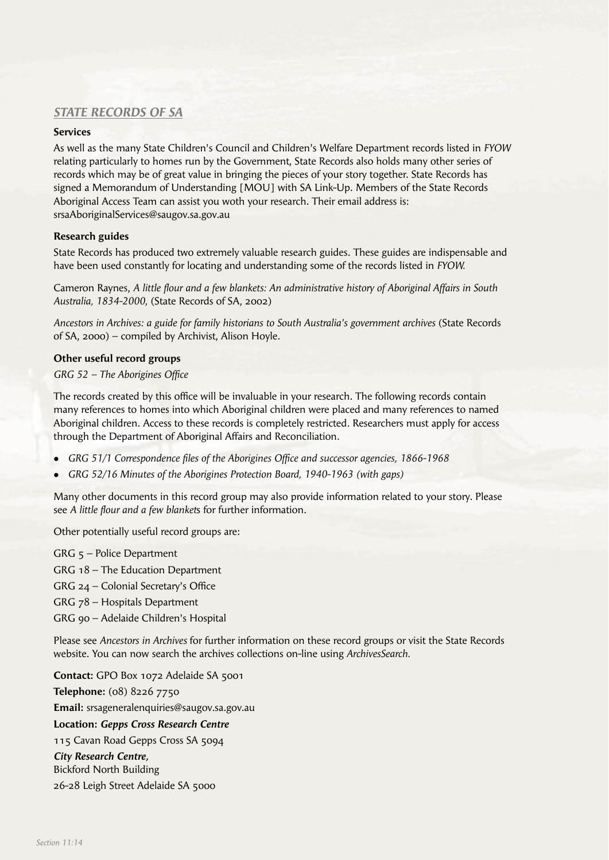# *STATE RECORDS OF SA*

## **Services**

As well as the many State Children's Council and Children's Welfare Department records listed in *FYOW* relating particularly to homes run by the Government, State Records also holds many other series of records which may be of great value in bringing the pieces of your story together. State Records has signed a Memorandum of Understanding [MOU] with SA Link-Up. Members of the State Records Aboriginal Access Team can assist you woth your research. Their email address is: srsaAboriginalServices@saugov.sa.gov.au

#### **Research guides**

State Records has produced two extremely valuable research guides. These guides are indispensable and have been used constantly for locating and understanding some of the records listed in *FYOW.* 

Cameron Raynes, A little flour and a few blankets: An administrative history of Aboriginal Affairs in South *Australia, 1834-2000,* (State Records of SA, 2002)

*Ancestors in Archives: a guide for family historians to South Australia's government archives* (State Records of SA, 2000) – compiled by Archivist, Alison Hoyle.

## **Other useful record groups**

## GRG 52 - The Aborigines Office

The records created by this office will be invaluable in your research. The following records contain many references to homes into which Aboriginal children were placed and many references to named Aboriginal children. Access to these records is completely restricted. Researchers must apply for access through the Department of Aboriginal Affairs and Reconciliation.

- GRG 51/1 Correspondence files of the Aborigines Office and successor agencies, 1866-1968
- **GRG 52/16 Minutes of the Aborigines Protection Board, 1940-1963 (with gaps)**

Many other documents in this record group may also provide information related to your story. Please see *A little flour and a few blankets* for further information.

Other potentially useful record groups are:

GRG 5 – Police Department

GRG 18 – The Education Department

GRG 24 – Colonial Secretary's Office

GRG 78 – Hospitals Department

GRG 90 – Adelaide Children's Hospital

Please see *Ancestors in Archives* for further information on these record groups or visit the State Records website. You can now search the archives collections on-line using *ArchivesSearch.*

**Contact:** GPO Box 1072 Adelaide SA 5001 **Telephone:** (08) 8226 7750 **Email:** srsageneralenquiries@saugov.sa.gov.au **Location:** *Gepps Cross Research Centre* 115 Cavan Road Gepps Cross SA 5094 *City Research Centre,* Bickford North Building 26-28 Leigh Street Adelaide SA 5000